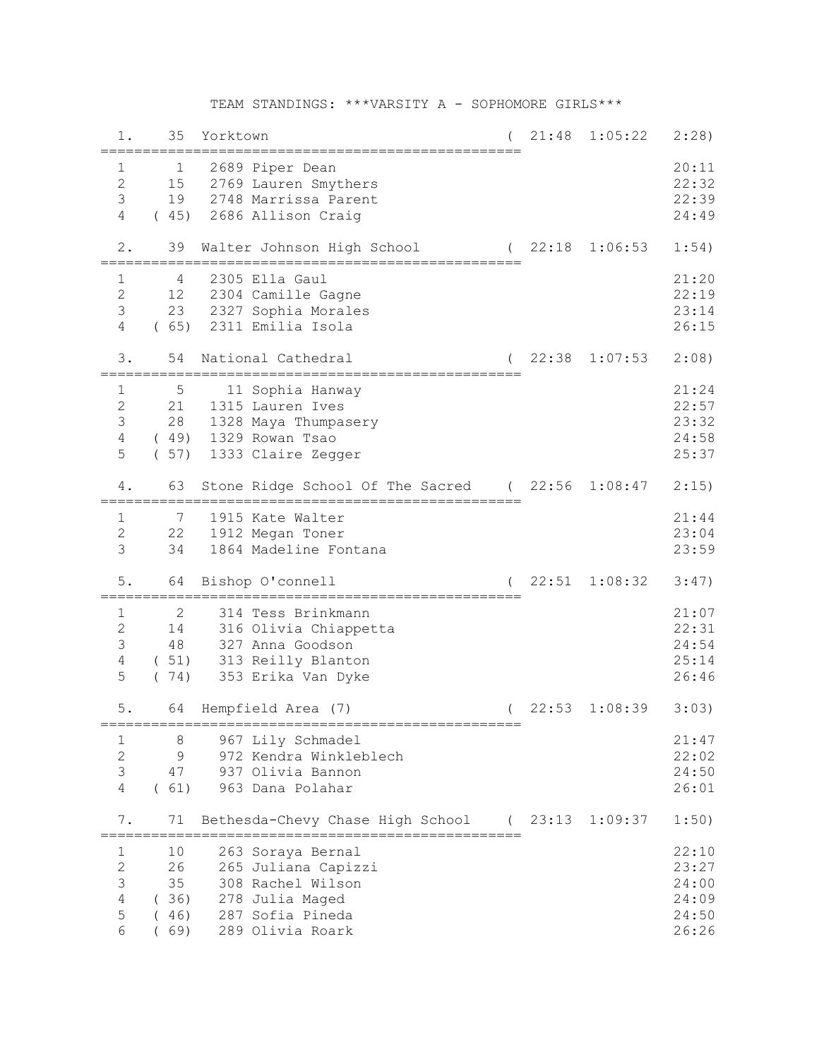## TEAM STANDINGS: \*\*\*VARSITY A - SOPHOMORE GIRLS\*\*\*

| 1.             | 35          | Yorktown                                                                | 21:48   | 1:05:22 | 2:28) |
|----------------|-------------|-------------------------------------------------------------------------|---------|---------|-------|
| 1              | $\mathbf 1$ | 2689 Piper Dean                                                         |         |         | 20:11 |
| $\mathbf{2}$   | 15          | 2769 Lauren Smythers                                                    |         |         | 22:32 |
| 3              | 19          | 2748 Marrissa Parent                                                    |         |         | 22:39 |
| $\overline{4}$ | (45)        | 2686 Allison Craig                                                      |         |         | 24:49 |
| $2$ .          | 39          | Walter Johnson High School                                              | (22:18  | 1:06:53 | 1:54) |
| $\mathbf{1}$   | 4           | 2305 Ella Gaul                                                          |         |         | 21:20 |
| $\mathbf{2}$   | 12          | 2304 Camille Gagne                                                      |         |         | 22:19 |
| $\mathsf 3$    | 23          | 2327 Sophia Morales                                                     |         |         | 23:14 |
| 4              | (65)        | 2311 Emilia Isola                                                       |         |         | 26:15 |
| 3.             | 54          | National Cathedral                                                      | 22:38   | 1:07:53 | 2:08) |
| $\mathbf{1}$   | 5           | 11 Sophia Hanway                                                        |         |         | 21:24 |
| $\overline{c}$ | 21          | 1315 Lauren Ives                                                        |         |         | 22:57 |
| $\mathsf 3$    | 28          | 1328 Maya Thumpasery                                                    |         |         | 23:32 |
| $\overline{4}$ |             | (49) 1329 Rowan Tsao                                                    |         |         | 24:58 |
| 5              | (57)        | 1333 Claire Zegger                                                      |         |         | 25:37 |
| 4.             | 63          | Stone Ridge School Of The Sacred (22:56                                 |         | 1:08:47 | 2:15) |
| $\mathbf 1$    | 7           | 1915 Kate Walter                                                        |         |         | 21:44 |
| $\mathbf{2}$   | 22          | 1912 Megan Toner                                                        |         |         | 23:04 |
| 3              | 34          | 1864 Madeline Fontana                                                   |         |         | 23:59 |
| 5.             | 64          | Bishop O'connell                                                        | 22:51   | 1:08:32 | 3:47) |
| 1              | 2           | 314 Tess Brinkmann                                                      |         |         | 21:07 |
| $\mathbf{2}$   | 14          | 316 Olivia Chiappetta                                                   |         |         | 22:31 |
| 3              | 48          | 327 Anna Goodson                                                        |         |         | 24:54 |
| $\overline{4}$ | (51)        | 313 Reilly Blanton                                                      |         |         | 25:14 |
| 5              | (74)        | 353 Erika Van Dyke                                                      |         |         | 26:46 |
|                |             |                                                                         |         |         |       |
| $5$ .          | 64          | Hempfield Area (7)<br>================================                  | 22:53   | 1:08:39 | 3:03) |
| 1              | 8           | 967 Lily Schmadel                                                       |         |         | 21:47 |
| $\overline{c}$ | 9           | 972 Kendra Winkleblech                                                  |         |         | 22:02 |
| 3              | 47          | 937 Olivia Bannon                                                       |         |         | 24:50 |
| 4              | (61)        | 963 Dana Polahar                                                        |         |         | 26:01 |
|                |             |                                                                         |         |         |       |
| 7.             | 71          | Bethesda-Chevy Chase High School<br>=================================== | (23:13) | 1:09:37 | 1:50) |
| ı              | 10          | 263 Soraya Bernal                                                       |         |         | 22:10 |
| $\overline{2}$ | 26          | 265 Juliana Capizzi                                                     |         |         | 23:27 |
| 3              | 35          | 308 Rachel Wilson                                                       |         |         | 24:00 |
| $\sqrt{4}$     | (36)        | 278 Julia Maged                                                         |         |         | 24:09 |
| 5              | (46)        | 287 Sofia Pineda                                                        |         |         | 24:50 |
| 6              | 69)         | 289 Olivia Roark                                                        |         |         | 26:26 |
|                |             |                                                                         |         |         |       |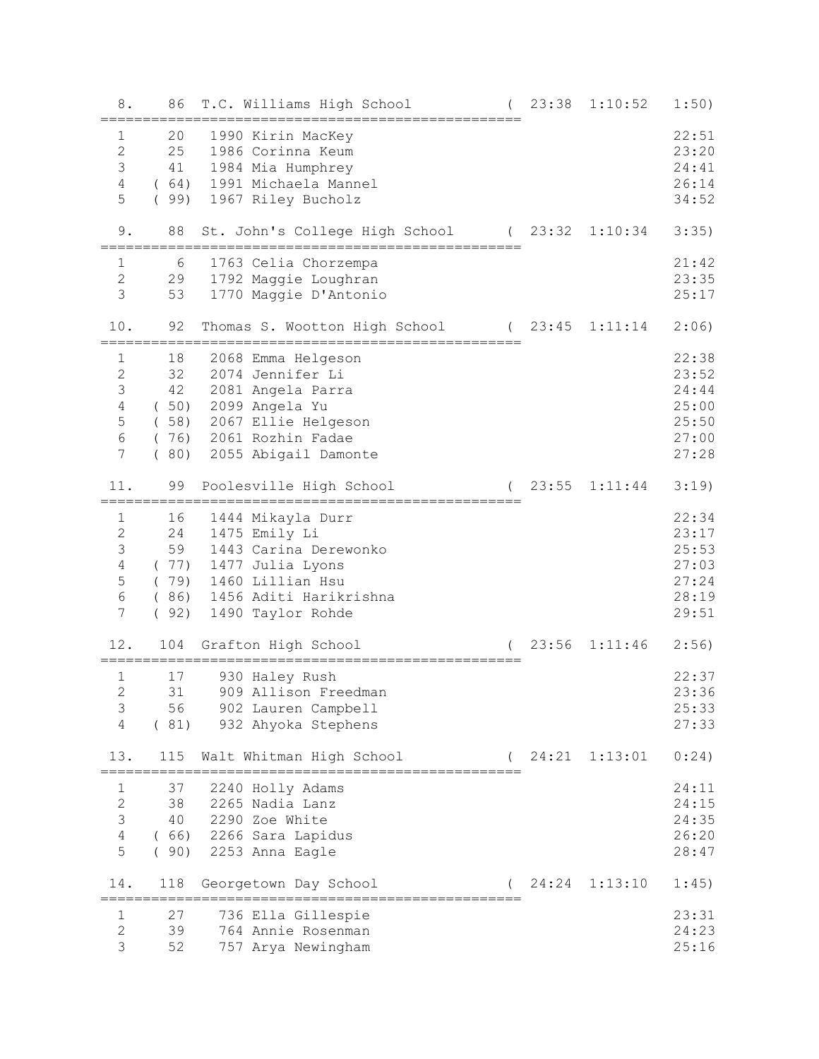| 8.                                                                         | 86                                | T.C. Williams High School                                                                                                                                        | 23:38 | 1:10:52       | 1:50)                                                       |
|----------------------------------------------------------------------------|-----------------------------------|------------------------------------------------------------------------------------------------------------------------------------------------------------------|-------|---------------|-------------------------------------------------------------|
| 1<br>$\mathbf{2}$<br>3<br>$\sqrt{4}$<br>5                                  | 20<br>25<br>41<br>(99)            | 1990 Kirin MacKey<br>1986 Corinna Keum<br>1984 Mia Humphrey<br>(64) 1991 Michaela Mannel<br>1967 Riley Bucholz                                                   |       |               | 22:51<br>23:20<br>24:41<br>26:14<br>34:52                   |
| 9.                                                                         | 88                                | St. John's College High School (23:32 1:10:34                                                                                                                    |       |               | 3:35)                                                       |
| 1<br>$\mathbf{2}$<br>3                                                     | 6<br>29<br>53                     | 1763 Celia Chorzempa<br>1792 Maggie Loughran<br>1770 Maggie D'Antonio                                                                                            |       |               | 21:42<br>23:35<br>25:17                                     |
| 10.                                                                        | 92                                | Thomas S. Wootton High School (23:45                                                                                                                             |       | 1:11:14       | 2:06)                                                       |
| 1<br>$\mathbf{2}$<br>$\mathcal{S}$<br>$\sqrt{4}$<br>5<br>6<br>7            | 18<br>32<br>42<br>$\left($<br>80) | 2068 Emma Helgeson<br>2074 Jennifer Li<br>2081 Angela Parra<br>(50) 2099 Angela Yu<br>(58) 2067 Ellie Helgeson<br>(76) 2061 Rozhin Fadae<br>2055 Abigail Damonte |       |               | 22:38<br>23:52<br>24:44<br>25:00<br>25:50<br>27:00<br>27:28 |
| 11.                                                                        | 99                                | Poolesville High School                                                                                                                                          | 23:55 | 1:11:44       | 3:19)                                                       |
| 1<br>$\mathbf{2}$<br>$\mathsf 3$<br>$\overline{4}$<br>5<br>$\epsilon$<br>7 | 16<br>24<br>59<br>(79)<br>(92)    | 1444 Mikayla Durr<br>1475 Emily Li<br>1443 Carina Derewonko<br>(77) 1477 Julia Lyons<br>1460 Lillian Hsu<br>(86) 1456 Aditi Harikrishna<br>1490 Taylor Rohde     |       |               | 22:34<br>23:17<br>25:53<br>27:03<br>27:24<br>28:19<br>29:51 |
| 12.                                                                        | 104                               | Grafton High School                                                                                                                                              | 23:56 | 1:11:46       | 2:56)                                                       |
| $\mathbf{1}$<br>2<br>3<br>4                                                | 17<br>31<br>56<br>(81)            | 930 Haley Rush<br>909 Allison Freedman<br>902 Lauren Campbell<br>932 Ahyoka Stephens                                                                             |       |               | 22:37<br>23:36<br>25:33<br>27:33                            |
| 13.                                                                        | 115                               | Walt Whitman High School                                                                                                                                         |       | 24:21 1:13:01 | 0:24)                                                       |
| 1<br>$\mathbf{2}$<br>3<br>$\sqrt{4}$<br>5                                  | 37<br>38<br>40<br>(66)<br>(90)    | 2240 Holly Adams<br>2265 Nadia Lanz<br>2290 Zoe White<br>2266 Sara Lapidus<br>2253 Anna Eagle                                                                    |       |               | 24:11<br>24:15<br>24:35<br>26:20<br>28:47                   |
| 14.                                                                        | 118                               | Georgetown Day School                                                                                                                                            |       | 24:24 1:13:10 | 1:45)                                                       |
| $\mathbf{1}$<br>$\overline{2}$<br>3                                        | 27<br>39<br>52                    | 736 Ella Gillespie<br>764 Annie Rosenman<br>757 Arya Newingham                                                                                                   |       |               | 23:31<br>24:23<br>25:16                                     |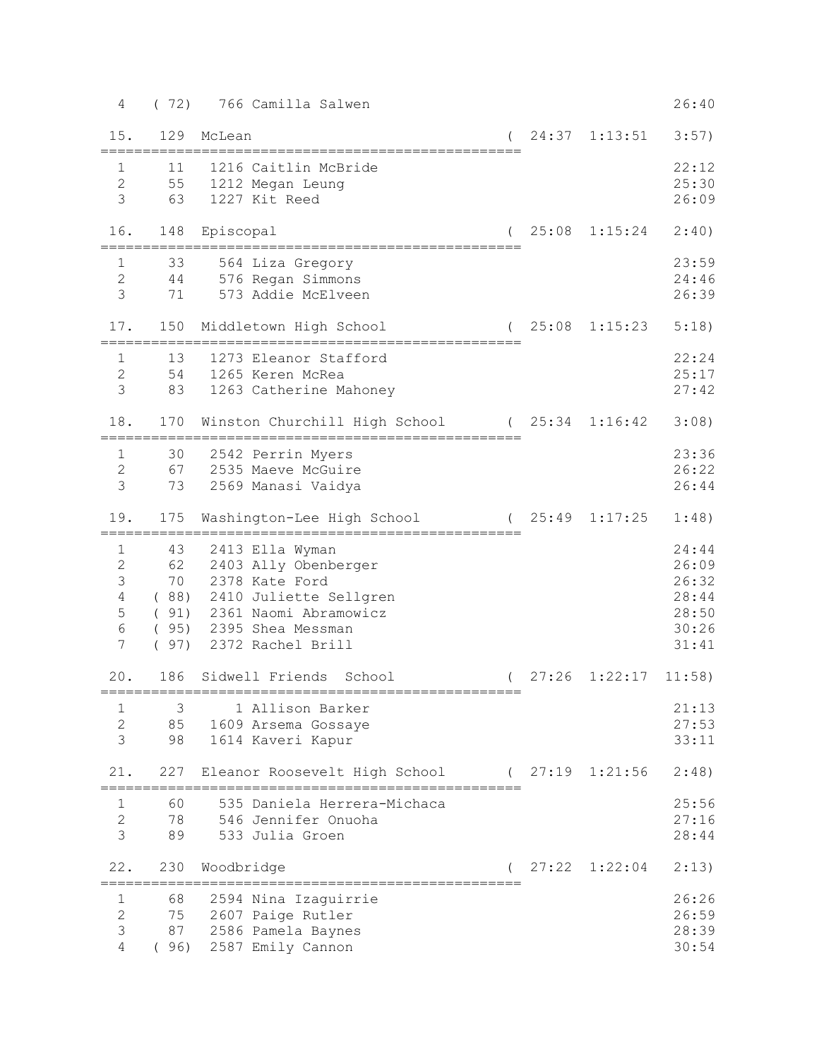| 4                                                                                                | (72)                   | 766 Camilla Salwen                                                                                                                                                         |       |                        | 26:40                                                       |
|--------------------------------------------------------------------------------------------------|------------------------|----------------------------------------------------------------------------------------------------------------------------------------------------------------------------|-------|------------------------|-------------------------------------------------------------|
| 15.                                                                                              | 129                    | McLean                                                                                                                                                                     |       | $(24:37 \quad 1:13:51$ | 3:57)                                                       |
| $\mathbf{1}$<br>$\mathbf{2}$<br>3                                                                | 11<br>55<br>63         | 1216 Caitlin McBride<br>1212 Megan Leung<br>1227 Kit Reed                                                                                                                  |       |                        | 22:12<br>25:30<br>26:09                                     |
| 16.                                                                                              | 148                    | Episcopal                                                                                                                                                                  | 25:08 | 1:15:24                | 2:40)                                                       |
| $\mathbf{1}$<br>2<br>$\mathcal{S}$                                                               | 33<br>44<br>71         | 564 Liza Gregory<br>576 Regan Simmons<br>573 Addie McElveen                                                                                                                |       |                        | 23:59<br>24:46<br>26:39                                     |
| 17.                                                                                              |                        | 150 Middletown High School                                                                                                                                                 | 25:08 | 1:15:23                | 5:18)                                                       |
| $\mathbf{1}$<br>$\mathbf{2}$<br>$\mathcal{S}$                                                    | 13<br>83               | 1273 Eleanor Stafford<br>54 1265 Keren McRea<br>1263 Catherine Mahoney                                                                                                     |       |                        | 22:24<br>25:17<br>27:42                                     |
| 18.                                                                                              | 170                    | Winston Churchill High School (25:34                                                                                                                                       |       | 1:16:42                | 3:08)                                                       |
| $\mathbf{1}$<br>$\mathbf{2}$<br>$\mathcal{S}$                                                    | 30<br>73               | 2542 Perrin Myers<br>67 2535 Maeve McGuire<br>2569 Manasi Vaidya                                                                                                           |       |                        | 23:36<br>26:22<br>26:44                                     |
| 19.                                                                                              | 175                    | Washington-Lee High School                                                                                                                                                 | 25:49 | 1:17:25                | 1:48)                                                       |
| $\mathbf 1$<br>$\mathbf{2}$<br>$\mathfrak{Z}$<br>$\sqrt{4}$<br>5<br>$\epsilon$<br>$\overline{7}$ | 43<br>62<br>70         | 2413 Ella Wyman<br>2403 Ally Obenberger<br>2378 Kate Ford<br>(88) 2410 Juliette Sellgren<br>(91) 2361 Naomi Abramowicz<br>(95) 2395 Shea Messman<br>(97) 2372 Rachel Brill |       |                        | 24:44<br>26:09<br>26:32<br>28:44<br>28:50<br>30:26<br>31:41 |
| 20.                                                                                              |                        | 186 Sidwell Friends<br>School                                                                                                                                              | 27:26 | 1:22:17                | 11:58)                                                      |
| $\mathbf{1}$<br>$\overline{c}$<br>3                                                              | 3<br>85<br>98          | 1 Allison Barker<br>1609 Arsema Gossaye<br>1614 Kaveri Kapur                                                                                                               |       |                        | 21:13<br>27:53<br>33:11                                     |
| 21.                                                                                              | 227                    | Eleanor Roosevelt High School (27:19 1:21:56                                                                                                                               |       |                        | 2:48)                                                       |
| $\mathbf{1}$<br>$\mathbf{2}$<br>3                                                                | 60<br>78<br>89         | 535 Daniela Herrera-Michaca<br>546 Jennifer Onuoha<br>533 Julia Groen                                                                                                      |       |                        | 25:56<br>27:16<br>28:44                                     |
| 22.                                                                                              | 230                    | Woodbridge                                                                                                                                                                 |       | $27:22 \quad 1:22:04$  | 2:13)                                                       |
| 1<br>$\mathbf{2}$<br>3<br>4                                                                      | 68<br>75<br>87<br>(96) | 2594 Nina Izaguirrie<br>2607 Paige Rutler<br>2586 Pamela Baynes<br>2587 Emily Cannon                                                                                       |       |                        | 26:26<br>26:59<br>28:39<br>30:54                            |